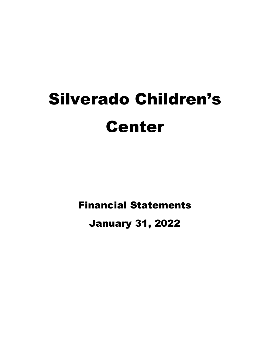# Silverado Children's Center

Financial Statements

January 31, 2022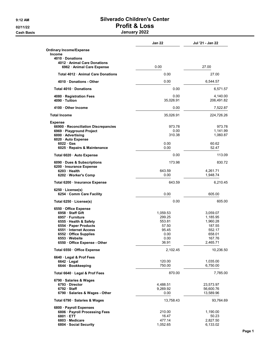#### Cash Basis January 2022

|                                                           | <b>Jan 22</b>  | Jul '21 - Jan 22     |  |
|-----------------------------------------------------------|----------------|----------------------|--|
| <b>Ordinary Income/Expense</b><br><b>Income</b>           |                |                      |  |
| 4010 Donations<br>4012 Animal Care Donations              |                |                      |  |
| 6962 · Animal Care Expense                                | 0.00           | 27.00                |  |
| Total 4012 Animal Care Donations                          | 0.00           | 27.00                |  |
| 4010 Donations - Other                                    | 0.00           | 6,544.57             |  |
| Total 4010 Donations                                      | 0.00           | 6,571.57             |  |
| 4080 · Registration Fees                                  | 0.00           | 4,140.00             |  |
| 4090 Tuition                                              | 35,026.91      | 206,491.82           |  |
| 4100 Other Income                                         | 0.00           | 7,522.87             |  |
| <b>Total Income</b>                                       | 35,026.91      | 224,726.26           |  |
| <b>Expense</b>                                            |                |                      |  |
| 66900 · Reconciliation Discrepancies                      | 973.78         | 973.78               |  |
| 6969 · Playground Project                                 | 0.00           | 1,141.99             |  |
| 6000 · Advertising                                        | 310.38         | 1,060.87             |  |
| 6020 Auto Expense<br>$6022 \cdot Gas$                     | 0.00           | 60.62                |  |
| 6025 · Repairs & Maintenance                              | 0.00           | 52.47                |  |
| Total 6020 · Auto Expense                                 | 0.00           | 113.09               |  |
| 6090 Dues & Subscriptions                                 | 173.98         | 830.72               |  |
| 6200 · Insurance Expense                                  |                |                      |  |
| 6203 Health<br>6202 · Worker's Comp                       | 643.59<br>0.00 | 4,261.71<br>1,948.74 |  |
|                                                           |                |                      |  |
| Total 6200 · Insurance Expense                            | 643.59         | 6,210.45             |  |
| $6250 \cdot \text{License(s)}$<br>6254 Comm Care Facility | 0.00           | 605.00               |  |
| Total $6250 \cdot$ License(s)                             | 0.00           | 605.00               |  |
| 6550 Office Expense                                       |                |                      |  |
| 6958 Staff Gift                                           | 1,059.53       | 3,059.07             |  |
| 6957 · Furniture                                          | 299.25         | 1,185.95             |  |
| 6555 · Health & Safety                                    | 553.81         | 1,960.28             |  |
| 6554 · Paper Products                                     | 57.50          | 187.55               |  |
| 6551 Internet Access                                      | 95.45          | 552.17               |  |
| 6552 Office Supplies                                      | 0.00           | 658.01               |  |
| 6553 Website                                              | 0.00           | 16/76                |  |
| 6550 · Office Expense - Other                             | 36.91          | 2,465.71             |  |
| Total 6550 · Office Expense                               | 2,102.45       | 10,236.50            |  |
| 6640 Legal & Prof Fees                                    |                |                      |  |
| $6642 \cdot$ Legal                                        | 120.00         | 1,035.00             |  |
| 6644 · Bookkeeping                                        | 750.00         | 6,750.00             |  |
| Total 6640 · Legal & Prof Fees                            | 870.00         | 7,785.00             |  |
| 6790 · Salaries & Wages                                   |                |                      |  |
| 6793 Director                                             | 4,488.51       | 23,573.97            |  |
| 6792 Staff                                                | 9,269.92       | 56,600.76            |  |
| 6790 · Salaries & Wages - Other                           | 0.00           | 13,589.96            |  |
| Total 6790 · Salaries & Wages                             | 13,758.43      | 93,764.69            |  |
| 6800 · Payroll Expenses                                   |                |                      |  |
| 6806 · Payroll Processing Fees                            | 210.00         | 1,190.00             |  |
| 6801 ETT                                                  | 16.47          | 50.23                |  |
| 6803 Medicare                                             | 477.14         | 2,827.50             |  |
| 6804 · Social Security                                    | 1,052.65       | 6,133.02             |  |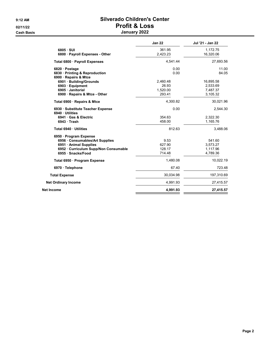Cash Basis January 2022 and 2022 and 2022 and 2022 and 2022 and 2022 and 2022 and 2022 and 2022 and 2022 and

# 9:12 AM Silverado Children's Center 02/11/22 Profit & Loss

| January 2022 |  |
|--------------|--|
|--------------|--|

|                                                                                                                                              | <b>Jan 22</b>                           | Jul '21 - Jan 22                              |
|----------------------------------------------------------------------------------------------------------------------------------------------|-----------------------------------------|-----------------------------------------------|
| 6805 SUI<br>6800 Payroll Expenses - Other                                                                                                    | 361.95<br>2,423.23                      | 1,172.75<br>16,320.06                         |
| Total 6800 · Payroll Expenses                                                                                                                | 4.541.44                                | 27,693.56                                     |
| 6820 Postage<br>6830 · Printing & Reproduction<br>6900 Repairs & Mtce                                                                        | 0.00<br>0.00                            | 11.00<br>84.05                                |
| 6901 · Building/Grounds<br>6903 · Equipment<br>6905 · Janitorial<br>6900 Repairs & Mtce - Other                                              | 2,460.48<br>26.93<br>1,520.00<br>293.41 | 16,895.58<br>2,533.69<br>7,487.37<br>3,105.32 |
| Total 6900 · Repairs & Mtce                                                                                                                  | 4,300.82                                | 30,021.96                                     |
| 6930 Substitute Teacher Expense<br>6940 Utilities<br>6941 Gas & Electric<br>6943 Trash                                                       | 0.00<br>354.63<br>458.00                | 2,544.30<br>2,322.30<br>1,165.76              |
| Total 6940 · Utilities                                                                                                                       | 812.63                                  | 3,488.06                                      |
| 6950 Program Expense<br>6956 Consumables/Art Supplies<br>6951 Animal Supplies<br>6952 · Curriculum Supp/Non Consumable<br>6955 · Snacks/Food | 9.53<br>627.90<br>128.17<br>714.48      | 541.60<br>3,573.27<br>1,117.96<br>4,789.36    |
| Total 6950 · Program Expense                                                                                                                 | 1,480.08                                | 10,022.19                                     |
| 6970 · Telephone                                                                                                                             | 67.40                                   | 723.48                                        |
| <b>Total Expense</b>                                                                                                                         | 30.034.98                               | 197,310.69                                    |
| <b>Net Ordinary Income</b>                                                                                                                   | 4,991.93                                | 27,415.57                                     |
| <b>Net Income</b>                                                                                                                            | 4,991.93                                | 27,415.57                                     |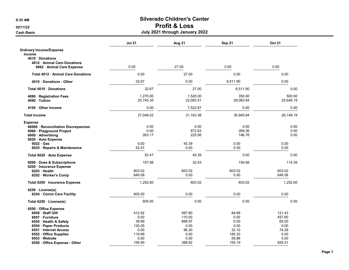## Cash Basis July 2021 through January 2022

|                                                 | <b>Jul 21</b> | Aug 21    | <b>Sep 21</b> | <b>Oct 21</b> |  |
|-------------------------------------------------|---------------|-----------|---------------|---------------|--|
| <b>Ordinary Income/Expense</b><br><b>Income</b> |               |           |               |               |  |
| 4010 Donations                                  |               |           |               |               |  |
| 4012 Animal Care Donations                      |               |           |               |               |  |
| 6962 · Animal Care Expense                      | 0.00          | 27.00     | 0.00          | 0.00          |  |
| Total 4012 · Animal Care Donations              | 0.00          | 27.00     | 0.00          | 0.00          |  |
| 4010 Donations - Other                          | 32.67         | 0.00      | 6,511.90      | 0.00          |  |
| Total 4010 Donations                            | 32.67         | 27.00     | 6,511.90      | 0.00          |  |
| 4080 · Registration Fees                        | 1,270.00      | 1,520.00  | 350.00        | 500.00        |  |
| 4090 Tuition                                    | 25,745.35     | 22,093.51 | 29,083.94     | 25,649.19     |  |
| 4100 Other Income                               | 0.00          | 7,522.87  | 0.00          | 0.00          |  |
| <b>Total Income</b>                             | 27,048.02     | 31,163.38 | 35,945.84     | 26,149.19     |  |
| <b>Expense</b>                                  |               |           |               |               |  |
| 66900 · Reconciliation Discrepancies            | 0.00          | 0.00      | 0.00          | 0.00          |  |
| 6969 · Playground Project                       | 0.00          | 872.63    | 269.36        | 0.00          |  |
| 6000 Advertising                                | 263.17        | 225.56    | 146.76        | 0.00          |  |
| 6020 Auto Expense                               |               |           |               |               |  |
| $6022 \cdot Gas$                                | 0.00          | 45.39     | 0.00          | 0.00          |  |
| 6025 · Repairs & Maintenance                    | 52.47         | 0.00      | 0.00          | 0.00          |  |
| Total 6020 · Auto Expense                       | 52.47         | 45.39     | 0.00          | 0.00          |  |
| 6090 · Dues & Subscriptions                     | 157.98        | 32.43     | 159.98        | 114.39        |  |
| 6200 · Insurance Expense                        |               |           |               |               |  |
| 6203 Health                                     | 603.02        | 603.02    | 603.02        | 603.02        |  |
| 6202 · Worker's Comp                            | 649.58        | 0.00      | 0.00          | 649.58        |  |
| Total 6200 · Insurance Expense                  | 1,252.60      | 603.02    | 603.02        | 1,252.60      |  |
| $6250 \cdot \text{License(s)}$                  |               |           |               |               |  |
| 6254 Comm Care Facility                         | 605.00        | 0.00      | 0.00          | 0.00          |  |
| Total 6250 · License(s)                         | 605.00        | 0.00      | 0.00          | 0.00          |  |
| 6550 · Office Expense                           |               |           |               |               |  |
| 6958 · Staff Gift                               | 412.92        | 587.80    | 84.68         | 121.43        |  |
| 6957 · Furniture                                | 0.00          | 110.00    | 0.00          | 457.60        |  |
| 6555 Health & Safety                            | 39.99         | 668.97    | 0.00          | 65.00         |  |
| 6554 · Paper Products                           | 130.05        | 0.00      | 0.00          | 0.00          |  |
| 6551 Internet Access                            | 0.00          | 96.30     | 32.10         | 74.28         |  |
| 6552 Office Supplies                            | 119.99        | 0.00      | 185.30        | 0.00          |  |
| 6553 Website                                    | 0.00          | 0.00      | 59.88         | 0.00          |  |
| 6550 Office Expense - Other                     | 156.90        | 388.62    | 155.19        | 829.21        |  |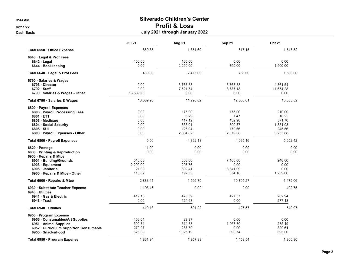Cash Basis July 2021 through January 2022

|                                                                                                                                                                            | <b>Jul 21</b>                                          | Aug 21                                                   | Sep 21                                                   | <b>Oct 21</b>                                               |
|----------------------------------------------------------------------------------------------------------------------------------------------------------------------------|--------------------------------------------------------|----------------------------------------------------------|----------------------------------------------------------|-------------------------------------------------------------|
| Total 6550 · Office Expense                                                                                                                                                | 859.85                                                 | 1,851.69                                                 | 517.15                                                   | 1.547.52                                                    |
| 6640 Legal & Prof Fees<br>$6642 \cdot$ Legal<br>6644 · Bookkeeping                                                                                                         | 450.00<br>0.00                                         | 165.00<br>2,250.00                                       | 0.00<br>750.00                                           | 0.00<br>1,500.00                                            |
| Total 6640 · Legal & Prof Fees                                                                                                                                             | 450.00                                                 | 2,415.00                                                 | 750.00                                                   | 1,500.00                                                    |
| 6790 · Salaries & Wages<br>6793 Director<br>6792 Staff<br>6790 · Salaries & Wages - Other                                                                                  | 0.00<br>0.00<br>13,589.96                              | 3,768.88<br>7,521.74<br>0.00                             | 3,768.88<br>8,737.13<br>0.00                             | 4,361.54<br>11,674.28<br>0.00                               |
| Total 6790 · Salaries & Wages                                                                                                                                              | 13,589.96                                              | 11,290.62                                                | 12,506.01                                                | 16,035.82                                                   |
| 6800 · Payroll Expenses<br>6806 · Payroll Processing Fees<br>6801 ETT<br>6803 · Medicare<br>6804 Social Security<br>$6805 \cdot SUI$<br>6800 · Payroll Expenses - Other    | 0.00<br>0.00<br>0.00<br>0.00<br>0.00<br>0.00           | 175.00<br>5.29<br>417.12<br>833.01<br>126.94<br>2,804.82 | 175.00<br>7.47<br>432.98<br>890.37<br>179.66<br>2,379.68 | 210.00<br>10.25<br>571.70<br>1,381.03<br>245.56<br>3,233.88 |
| Total 6800 · Payroll Expenses                                                                                                                                              | 0.00                                                   | 4,362.18                                                 | 4,065.16                                                 | 5,652.42                                                    |
| 6820 Postage<br>6830 · Printing & Reproduction<br>6900 · Repairs & Mtce<br>6901 · Building/Grounds<br>6903 · Equipment<br>6905 Janitorial<br>6900 · Repairs & Mtce - Other | 11.00<br>0.00<br>540.00<br>2,209.00<br>21.09<br>113.32 | 0.00<br>0.00<br>300.00<br>297.76<br>802.41<br>192.53     | 0.00<br>0.00<br>7.100.00<br>0.00<br>3,341.09<br>354.18   | 0.00<br>0.00<br>240.00<br>0.00<br>0.00<br>1,239.06          |
| Total 6900 · Repairs & Mtce                                                                                                                                                | 2,883.41                                               | 1,592.70                                                 | 10,795.27                                                | 1,479.06                                                    |
| 6930 · Substitute Teacher Expense<br>6940 Utilities<br>6941 Gas & Electric<br>6943 Trash                                                                                   | 1,198.46<br>419.13<br>0.00                             | 0.00<br>476.59<br>124.63                                 | 0.00<br>427.57<br>0.00                                   | 402.75<br>262.94<br>277.13                                  |
| Total 6940 · Utilities                                                                                                                                                     | 419.13                                                 | 601.22                                                   | 427.57                                                   | 540.07                                                      |
| 6950 · Program Expense<br>6956 · Consumables/Art Supplies<br>6951 Animal Supplies<br>6952 · Curriculum Supp/Non Consumable<br>6955 · Snacks/Food                           | 456.04<br>500.84<br>279.97<br>625.09                   | 29.97<br>614.38<br>287.79<br>1,025.19                    | 0.00<br>1,067.80<br>0.00<br>390.74                       | 0.00<br>285.19<br>320.61<br>695.00                          |
| Total 6950 · Program Expense                                                                                                                                               | 1.861.94                                               | 1.957.33                                                 | 1.458.54                                                 | 1.300.80                                                    |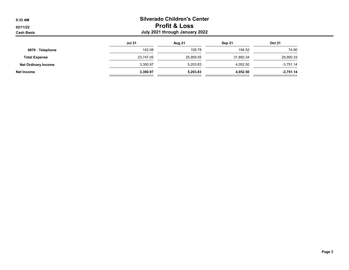| 9:33 AM                       |                                                            | <b>Silverado Children's Center</b> |           |               |  |  |  |
|-------------------------------|------------------------------------------------------------|------------------------------------|-----------|---------------|--|--|--|
| 02/11/22<br><b>Cash Basis</b> | <b>Profit &amp; Loss</b><br>July 2021 through January 2022 |                                    |           |               |  |  |  |
|                               | <b>Jul 21</b>                                              | <b>Aug 21</b>                      | Sep 21    | <b>Oct 21</b> |  |  |  |
| 6970 · Telephone              | 142.08                                                     | 109.78                             | 194.52    | 74.90         |  |  |  |
| <b>Total Expense</b>          | 23.747.05                                                  | 25,959.55                          | 31,893.34 | 29,900.33     |  |  |  |
| <b>Net Ordinary Income</b>    | 3,300.97                                                   | 5,203.83                           | 4,052.50  | $-3,751.14$   |  |  |  |
| Net Income                    | 3.300.97                                                   | 5,203.83                           | 4,052.50  | $-3,751.14$   |  |  |  |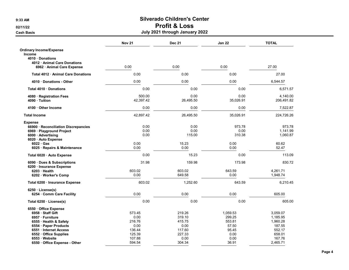## Cash Basis July 2021 through January 2022

|                                                                                                           | <b>Nov 21</b>           | <b>Dec 21</b>              | <b>Jan 22</b>            | <b>TOTAL</b>                   |  |
|-----------------------------------------------------------------------------------------------------------|-------------------------|----------------------------|--------------------------|--------------------------------|--|
| <b>Ordinary Income/Expense</b><br><b>Income</b><br>4010 Donations<br>4012 Animal Care Donations           |                         |                            |                          |                                |  |
| 6962 Animal Care Expense                                                                                  | 0.00                    | 0.00                       | 0.00                     | 27.00                          |  |
| <b>Total 4012 Animal Care Donations</b>                                                                   | 0.00                    | 0.00                       | 0.00                     | 27.00                          |  |
| 4010 Donations - Other                                                                                    | 0.00                    | 0.00                       | 0.00                     | 6,544.57                       |  |
| Total 4010 Donations                                                                                      | 0.00                    | 0.00                       | 0.00                     | 6,571.57                       |  |
| 4080 · Registration Fees<br>4090 · Tuition                                                                | 500.00<br>42,397.42     | 0.00<br>26,495.50          | 0.00<br>35,026.91        | 4,140.00<br>206,491.82         |  |
| 4100 Other Income                                                                                         | 0.00                    | 0.00                       | 0.00                     | 7,522.87                       |  |
| <b>Total Income</b>                                                                                       | 42,897.42               | 26,495.50                  | 35,026.91                | 224,726.26                     |  |
| <b>Expense</b><br>66900 · Reconciliation Discrepancies<br>6969 · Playground Project<br>6000 · Advertising | 0.00<br>0.00<br>0.00    | 0.00<br>0.00<br>115.00     | 973.78<br>0.00<br>310.38 | 973.78<br>1,141.99<br>1,060.87 |  |
| 6020 Auto Expense<br>$6022 \cdot Gas$<br>6025 · Repairs & Maintenance                                     | 0.00<br>0.00            | 15.23<br>0.00              | 0.00<br>0.00             | 60.62<br>52.47                 |  |
| Total 6020 · Auto Expense                                                                                 | 0.00                    | 15.23                      | 0.00                     | 113.09                         |  |
| 6090 Dues & Subscriptions<br>6200 · Insurance Expense<br>6203 Health<br>6202 · Worker's Comp              | 31.98<br>603.02<br>0.00 | 159.98<br>603.02<br>649.58 | 173.98<br>643.59<br>0.00 | 830.72<br>4,261.71<br>1,948.74 |  |
| Total 6200 · Insurance Expense                                                                            | 603.02                  | 1,252.60                   | 643.59                   | 6,210.45                       |  |
| $6250 \cdot License(s)$<br>6254 Comm Care Facility                                                        | 0.00                    | 0.00                       | 0.00                     | 605.00                         |  |
| Total 6250 · License(s)                                                                                   | 0.00                    | 0.00                       | 0.00                     | 605.00                         |  |
| 6550 Office Expense                                                                                       |                         |                            |                          |                                |  |
| 6958 Staff Gift<br>6957 · Furniture                                                                       | 573.45<br>0.00          | 219.26<br>319.10           | 1,059.53<br>299.25       | 3,059.07<br>1,185.95           |  |
| 6555 · Health & Safety                                                                                    | 216.76                  | 415.75                     | 553.81                   | 1,960.28                       |  |
| 6554 · Paper Products                                                                                     | 0.00                    | 0.00                       | 57.50                    | 187.55                         |  |
| 6551 · Internet Access                                                                                    | 136.44                  | 117.60                     | 95.45                    | 552.17                         |  |
| 6552 · Office Supplies                                                                                    | 125.39                  | 227.33                     | 0.00                     | 658.01                         |  |
| 6553 Website                                                                                              | 107.88                  | 0.00                       | 0.00                     | 167.76                         |  |
| 6550 Office Expense - Other                                                                               | 594.54                  | 304.34                     | 36.91                    | 2,465.71                       |  |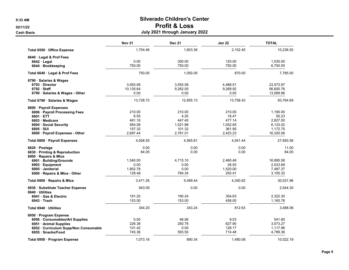Cash Basis July 2021 through January 2022

|                                                                                                                                                                              | <b>Nov 21</b>                                            | <b>Dec 21</b>                                              | <b>Jan 22</b>                                               | <b>TOTAL</b>                                                       |
|------------------------------------------------------------------------------------------------------------------------------------------------------------------------------|----------------------------------------------------------|------------------------------------------------------------|-------------------------------------------------------------|--------------------------------------------------------------------|
| Total 6550 Office Expense                                                                                                                                                    | 1,754.46                                                 | 1,603.38                                                   | 2,102.45                                                    | 10,236.50                                                          |
| 6640 Legal & Prof Fees<br>$6642 \cdot$ Legal<br>6644 · Bookkeeping                                                                                                           | 0.00<br>750.00                                           | 300.00<br>750.00                                           | 120.00<br>750.00                                            | 1,035.00<br>6,750.00                                               |
| Total 6640 · Legal & Prof Fees                                                                                                                                               | 750.00                                                   | 1,050.00                                                   | 870.00                                                      | 7,785.00                                                           |
| 6790 · Salaries & Wages<br>6793 Director<br>$6792$ Staff<br>6790 · Salaries & Wages - Other                                                                                  | 3,593.08<br>10,135.64<br>0.00                            | 3,593.08<br>9,262.05<br>0.00                               | 4,488.51<br>9,269.92<br>0.00                                | 23,573.97<br>56,600.76<br>13,589.96                                |
| Total 6790 · Salaries & Wages                                                                                                                                                | 13,728.72                                                | 12,855.13                                                  | 13,758.43                                                   | 93,764.69                                                          |
| 6800 · Payroll Expenses<br>6806 · Payroll Processing Fees<br>6801 ETT<br>6803 · Medicare<br>6804 Social Security<br>$6805 \cdot SUI$<br>6800 · Payroll Expenses - Other      | 210.00<br>6.55<br>481.16<br>954.08<br>157.32<br>2,697.44 | 210.00<br>4.20<br>447.40<br>1.021.88<br>101.32<br>2,781.01 | 210.00<br>16.47<br>477.14<br>1.052.65<br>361.95<br>2,423.23 | 1,190.00<br>50.23<br>2,827.50<br>6,133.02<br>1,172.75<br>16,320.06 |
| Total 6800 · Payroll Expenses                                                                                                                                                | 4,506.55                                                 | 4,565.81                                                   | 4,541.44                                                    | 27,693.56                                                          |
| 6820 · Postage<br>6830 Printing & Reproduction<br>6900 · Repairs & Mtce<br>6901 · Building/Grounds<br>6903 · Equipment<br>6905 · Janitorial<br>6900 · Repairs & Mtce - Other | 0.00<br>84.05<br>1,540.00<br>0.00<br>1,802.78<br>128.48  | 0.00<br>0.00<br>4,715.10<br>0.00<br>0.00<br>784.34         | 0.00<br>0.00<br>2,460.48<br>26.93<br>1,520.00<br>293.41     | 11.00<br>84.05<br>16,895.58<br>2,533.69<br>7,487.37<br>3,105.32    |
| Total 6900 · Repairs & Mtce                                                                                                                                                  | 3,471.26                                                 | 5,499.44                                                   | 4,300.82                                                    | 30,021.96                                                          |
| 6930 · Substitute Teacher Expense<br>6940 Utilities<br>6941 Gas & Electric<br>6943 Trash                                                                                     | 943.09<br>191.20<br>153.00                               | 0.00<br>190.24<br>153.00                                   | 0.00<br>354.63<br>458.00                                    | 2,544.30<br>2,322.30<br>1,165.76                                   |
| Total 6940 · Utilities                                                                                                                                                       | 344.20                                                   | 343.24                                                     | 812.63                                                      | 3,488.06                                                           |
| 6950 · Program Expense<br>6956 Consumables/Art Supplies<br>6951 Animal Supplies<br>6952 · Curriculum Supp/Non Consumable<br>6955 Snacks/Food                                 | 0.00<br>226.38<br>101.42<br>745.36                       | 46.06<br>250.78<br>0.00<br>593.50                          | 9.53<br>627.90<br>128.17<br>714.48                          | 541.60<br>3,573.27<br>1,117.96<br>4,789.36                         |
| Total 6950 · Program Expense                                                                                                                                                 | 1.073.16                                                 | 890.34                                                     | 1,480.08                                                    | 10,022.19                                                          |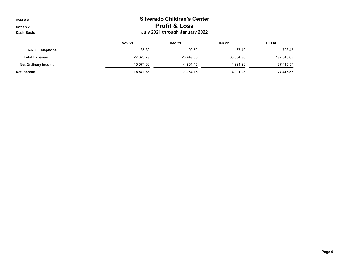## 9:33 AM Silverado Children's Center 02/11/22 **Profit & Loss** Cash Basis July 2021 through January 2022

|                            | <b>Nov 21</b> | <b>Dec 21</b> | <b>Jan 22</b> | <b>TOTAL</b> |
|----------------------------|---------------|---------------|---------------|--------------|
| 6970 · Telephone           | 35.30         | 99.50         | 67.40         | 723.48       |
| <b>Total Expense</b>       | 27,325.79     | 28.449.65     | 30,034.98     | 197,310.69   |
| <b>Net Ordinary Income</b> | 15.571.63     | $-1.954.15$   | 4.991.93      | 27,415.57    |
| Net Income                 | 15,571.63     | $-1,954.15$   | 4,991.93      | 27,415.57    |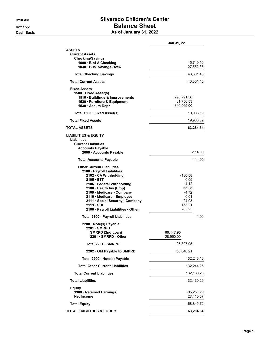**Cash Basis** 

# 9:10 AM Silverado Children's Center 02/11/22 Balance Sheet

|  |  | As of January 31, 2022 |  |  |
|--|--|------------------------|--|--|
|--|--|------------------------|--|--|

|                                                                                                                                                                                                                                                                                                                               | Jan 31, 22                                                                            |
|-------------------------------------------------------------------------------------------------------------------------------------------------------------------------------------------------------------------------------------------------------------------------------------------------------------------------------|---------------------------------------------------------------------------------------|
| ASSETS<br><b>Current Assets</b><br><b>Checking/Savings</b><br>1000 B of A Checking<br>1030 Bus. Savings-BofA                                                                                                                                                                                                                  | 15,749.10<br>27,552.35                                                                |
| <b>Total Checking/Savings</b>                                                                                                                                                                                                                                                                                                 | 43,301.45                                                                             |
| <b>Total Current Assets</b>                                                                                                                                                                                                                                                                                                   | 43,301.45                                                                             |
| <b>Fixed Assets</b><br>1500 · Fixed Asset(s)<br>1510 · Buildings & Improvements<br>1520 · Furniture & Equipment<br>1530 · Accum Depr                                                                                                                                                                                          | 298,791.56<br>61,756.53<br>$-340,565.00$                                              |
| Total 1500 · Fixed Asset(s)                                                                                                                                                                                                                                                                                                   | 19,983.09                                                                             |
| <b>Total Fixed Assets</b>                                                                                                                                                                                                                                                                                                     | 19,983.09                                                                             |
| <b>TOTAL ASSETS</b>                                                                                                                                                                                                                                                                                                           | 63,284.54                                                                             |
| <b>LIABILITIES &amp; EQUITY</b><br>Liabilities<br><b>Current Liabilities</b><br><b>Accounts Payable</b><br>2000 · Accounts Payable                                                                                                                                                                                            | -114.00                                                                               |
| <b>Total Accounts Payable</b>                                                                                                                                                                                                                                                                                                 | $-114.00$                                                                             |
| <b>Other Current Liabilities</b><br>2100 · Payroll Liabilities<br>2102 · CA Withholding<br>$2105 \cdot ETT$<br>2106 · Federal Withholding<br>2108 · Health Ins (Emp)<br>2109 · Medicare - Company<br>2110 · Medicare - Employee<br>2111 · Social Security - Company<br>$2113 \cdot SUI$<br>2100 · Payroll Liabilities - Other | -130.58<br>0.09<br>4.12<br>65.25<br>$-4.72$<br>0.01<br>$-24.03$<br>153.21<br>$-65.25$ |
| Total 2100 · Payroll Liabilities                                                                                                                                                                                                                                                                                              | $-1.90$                                                                               |
| 2200 · Note(s) Payable<br>2201 · SMRPD<br>SMRPD (2nd Loan)<br>2201 · SMRPD - Other                                                                                                                                                                                                                                            | 66,447.95<br>28,950.00                                                                |
| Total 2201 · SMRPD                                                                                                                                                                                                                                                                                                            | 95,397.95                                                                             |
| 2202 Old Payable to SMPRD                                                                                                                                                                                                                                                                                                     | 36,848.21                                                                             |
| Total 2200 · Note(s) Payable                                                                                                                                                                                                                                                                                                  | 132,246.16                                                                            |
| <b>Total Other Current Liabilities</b>                                                                                                                                                                                                                                                                                        | 132,244.26                                                                            |
| <b>Total Current Liabilities</b>                                                                                                                                                                                                                                                                                              | 132,130.26                                                                            |
| <b>Total Liabilities</b>                                                                                                                                                                                                                                                                                                      | 132,130.26                                                                            |
| Equity<br>3900 · Retained Earnings<br><b>Net Income</b>                                                                                                                                                                                                                                                                       | -96,261.29<br>27,415.57                                                               |
| <b>Total Equity</b>                                                                                                                                                                                                                                                                                                           | $-68,845.72$                                                                          |
| <b>TOTAL LIABILITIES &amp; EQUITY</b>                                                                                                                                                                                                                                                                                         | 63,284.54                                                                             |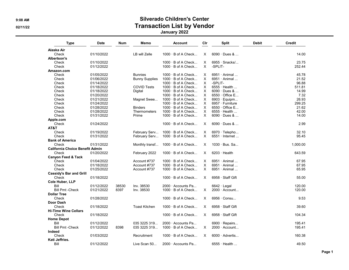#### 9:08 AM Silverado Children's Center 02/11/22 **Transaction List by Vendor Transaction List by Vendor** January 2022

| Type                                   | Date       | Num   | Memo                  | <b>Account</b>            | Cir      | <b>Split</b>            | <b>Debit</b> | <b>Credit</b> |
|----------------------------------------|------------|-------|-----------------------|---------------------------|----------|-------------------------|--------------|---------------|
| Alaska Air                             |            |       |                       |                           |          |                         |              |               |
| Check                                  | 01/10/2022 |       | LB will Zelle         | $1000 \cdot B$ of A Check | X.       | $6090 \cdot$ Dues &     |              | 14.00         |
| Albertson's                            |            |       |                       |                           |          |                         |              |               |
| Check                                  | 01/10/2022 |       |                       | $1000 \cdot B$ of A Check | X        | $6955 \cdot$ Snacks/    |              | 23.75         |
| Check                                  | 01/12/2022 |       |                       | $1000 \cdot B$ of A Check | X        | -SPLIT-                 |              | 252.44        |
| Amazon.com                             |            |       |                       |                           |          |                         |              |               |
| Check                                  | 01/05/2022 |       | <b>Bunnies</b>        | $1000 \cdot B$ of A Check | X.       | $6951 \cdot$ Animal     |              | 45.78         |
| Check                                  | 01/06/2022 |       | <b>Bunny Supplies</b> | $1000 \cdot B$ of A Check | X        | 6951 · Animal           |              | 21.52         |
| Check                                  | 01/14/2022 |       |                       | $1000 \cdot B$ of A Check | Χ        | -SPLIT-                 |              | 96.88         |
| Check                                  | 01/18/2022 |       | <b>COVID Tests</b>    | 1000 · B of A Check       | X        | $6555 \cdot$ Health     |              | 511.81        |
| Check                                  | 01/18/2022 |       | Digital               | $1000 \cdot B$ of A Check | X        | $6090 \cdot$ Dues &     |              | 14.99         |
| Check                                  | 01/20/2022 |       |                       |                           | $\times$ | $6550 \cdot$ Office E   |              | 7.32          |
|                                        |            |       |                       | 1000 · B of A Check       |          |                         |              |               |
| Check                                  | 01/21/2022 |       | Magnet Swee           | $1000 \cdot B$ of A Check | X        | 6903 · Equipm           |              | 26.93         |
| Check                                  | 01/24/2022 |       |                       | $1000 \cdot B$ of A Check | X        | 6957 · Furniture        |              | 299.25        |
| Check                                  | 01/28/2022 |       | <b>Binders</b>        | 1000 · B of A Check       | X        | $6550 \cdot$ Office E   |              | 21.62         |
| Check                                  | 01/28/2022 |       | Thermometers          | $1000 \cdot B$ of A Check | X        | $6555 \cdot$ Health     |              | 42.00         |
| Check                                  | 01/31/2022 |       | Prime                 | 1000 · B of A Check       | X        | $6090 \cdot$ Dues &     |              | 14.00         |
| Apple.com                              |            |       |                       |                           |          |                         |              |               |
| Check                                  | 01/24/2022 |       |                       | $1000 \cdot B$ of A Check | X        | $6090 \cdot$ Dues &     |              | 2.99          |
| AT&T                                   |            |       |                       |                           |          |                         |              |               |
| Check                                  | 01/19/2022 |       | February Serv         | 1000 · B of A Check       | X        | 6970 · Telepho          |              | 32.10         |
| Check                                  | 01/31/2022 |       | February Serv         | $1000 \cdot B$ of A Check | X        | $6551 \cdot$ Internet   |              | 95.45         |
| <b>Bank of America</b>                 |            |       |                       |                           |          |                         |              |               |
| Check                                  | 01/31/2022 |       | Monthly transf        | $1000 \cdot B$ of A Check | X        | $1030 \cdot Bus.$ Sa    |              | 1,000.00      |
| <b>California Choice Benefit Admin</b> |            |       |                       |                           |          |                         |              |               |
| Check                                  | 01/20/2022 |       | February 2022         | $1000 \cdot B$ of A Check | X        | $6203 \cdot$ Health     |              | 643.59        |
|                                        |            |       |                       |                           |          |                         |              |               |
| <b>Canyon Feed &amp; Tack</b>          |            |       |                       |                           |          |                         |              |               |
| Check                                  | 01/04/2022 |       | Account #737          | $1000 \cdot B$ of A Check | X        | $6951 \cdot$ Animal     |              | 67.95         |
| Check                                  | 01/18/2022 |       | Account #737          | $1000 \cdot B$ of A Check | X.       | 6951 · Animal           |              | 67.95         |
| Check                                  | 01/25/2022 |       | Account #737          | $1000 \cdot B$ of A Check | X.       | 6951 · Animal           |              | 65.95         |
| <b>Cassidy's Bar and Grill</b>         |            |       |                       |                           |          |                         |              |               |
| Check                                  | 01/18/2022 |       |                       | $1000 \cdot B$ of A Check | X        | 6958 · Staff Gift       |              | 55.00         |
| <b>Cole Huber, LLP</b>                 |            |       |                       |                           |          |                         |              |               |
| Bill                                   | 01/12/2022 | 38530 | Inv. 38530            | 2000 · Accounts Pa        |          | $6642 \cdot$ Legal      |              | 120.00        |
| <b>Bill Pmt -Check</b>                 | 01/21/2022 | 8397  | Inv. 38530            | $1000 \cdot B$ of A Check | X        | $2000 \cdot$ Account    |              | 120.00        |
| <b>Dollar Tree</b>                     |            |       |                       |                           |          |                         |              |               |
| Check                                  | 01/28/2022 |       |                       | $1000 \cdot B$ of A Check | X        | 6956 · Consu            |              | 9.53          |
| <b>Door Dash</b>                       |            |       |                       |                           |          |                         |              |               |
| Check                                  | 01/18/2022 |       | <b>Toast Kitchen</b>  | $1000 \cdot B$ of A Check | X        | $6958 \cdot$ Staff Gift |              | 39.60         |
| <b>Hi-Time Wine Cellars</b>            |            |       |                       |                           |          |                         |              |               |
|                                        | 01/18/2022 |       |                       | $1000 \cdot B$ of A Check | X        | 6958 · Staff Gift       |              | 104.34        |
| Check                                  |            |       |                       |                           |          |                         |              |               |
| <b>Home Depot</b>                      |            |       |                       |                           |          |                         |              |               |
| Bill                                   | 01/12/2022 |       | 035 3225 319          | 2000 Accounts Pa          |          | $6900 \cdot$ Repairs    |              | 195.41        |
| <b>Bill Pmt -Check</b>                 | 01/12/2022 | 8398  | 035 3225 319          | $1000 \cdot B$ of A Check | X        | $2000 \cdot$ Account    |              | 195.41        |
| Indeed                                 |            |       |                       |                           |          |                         |              |               |
| Check                                  | 01/03/2022 |       | Recruitment           | $1000 \cdot B$ of A Check | X        | $6000 \cdot$ Advertis   |              | 160.38        |
| Kati Jeffries.                         |            |       |                       |                           |          |                         |              |               |
| Bill                                   | 01/12/2022 |       | Live Scan 50          | 2000 · Accounts Pa        |          | $6555 \cdot$ Health     |              | 49.50         |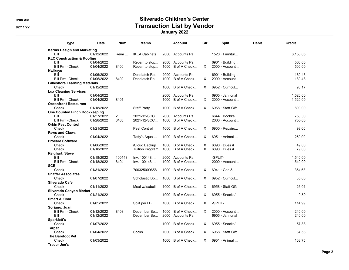# 9:08 AM Silverado Children's Center 02/11/22 **Transaction List by Vendor Transaction List by Vendor**

January 2022

| Kerins Design and Marketing<br>01/12/2022<br><b>IKEA Cabinets</b><br>$2000 \cdot$ Accounts Pa<br>$1520 \cdot$ Furnitur<br>Bill<br>Reim<br><b>KLC Construction &amp; Roofing</b><br>Bill<br>01/04/2022<br>2000 Accounts Pa<br>Repair to stop<br>$6901 \cdot$ Building<br><b>Bill Pmt -Check</b><br>$1000 \cdot B$ of A Check<br>01/04/2022<br>8400<br>Repair to stop<br>X<br>$2000 \cdot$ Account<br><b>Kwikeys</b><br>Bill<br>01/06/2022<br>Deadlatch Re<br>2000 · Accounts Pa<br>$6901 \cdot$ Building<br><b>Bill Pmt -Check</b><br>01/06/2022<br>8402<br>$1000 \cdot B$ of A Check<br>2000 · Account<br>Deadlatch Re<br>X<br><b>Lakeshore Learning Materials</b><br>01/12/2022<br>$1000 \cdot B$ of A Check<br>X<br>$6952 \cdot$ Curricul<br>Check<br><b>Lux Cleaning Services</b><br>Bill<br>01/04/2022<br>2000 Accounts Pa<br>6905 · Janitorial<br>$1000 \cdot B$ of A Check<br>2000 · Account<br><b>Bill Pmt -Check</b><br>01/04/2022<br>8401<br>X<br><b>Oceanfront Restaurant</b><br>Check<br><b>Staff Party</b><br>$1000 \cdot B$ of A Check<br>6958 · Staff Gift<br>01/18/2022<br>X<br><b>One Counted Finch Bookkeeping</b><br>Bill<br>01/27/2022<br>$\overline{2}$<br>2021-12-SCC<br>2000 · Accounts Pa<br>6644 · Bookke<br>01/28/2022<br>2021-12-SCC<br>$1000 \cdot B$ of A Check<br><b>Bill Pmt -Check</b><br>8405<br>$2000 \cdot$ Account<br><b>Orkin Pest Control</b> | Credit   |
|------------------------------------------------------------------------------------------------------------------------------------------------------------------------------------------------------------------------------------------------------------------------------------------------------------------------------------------------------------------------------------------------------------------------------------------------------------------------------------------------------------------------------------------------------------------------------------------------------------------------------------------------------------------------------------------------------------------------------------------------------------------------------------------------------------------------------------------------------------------------------------------------------------------------------------------------------------------------------------------------------------------------------------------------------------------------------------------------------------------------------------------------------------------------------------------------------------------------------------------------------------------------------------------------------------------------------------------------------------------------------------|----------|
|                                                                                                                                                                                                                                                                                                                                                                                                                                                                                                                                                                                                                                                                                                                                                                                                                                                                                                                                                                                                                                                                                                                                                                                                                                                                                                                                                                                    |          |
|                                                                                                                                                                                                                                                                                                                                                                                                                                                                                                                                                                                                                                                                                                                                                                                                                                                                                                                                                                                                                                                                                                                                                                                                                                                                                                                                                                                    | 6.158.05 |
|                                                                                                                                                                                                                                                                                                                                                                                                                                                                                                                                                                                                                                                                                                                                                                                                                                                                                                                                                                                                                                                                                                                                                                                                                                                                                                                                                                                    |          |
|                                                                                                                                                                                                                                                                                                                                                                                                                                                                                                                                                                                                                                                                                                                                                                                                                                                                                                                                                                                                                                                                                                                                                                                                                                                                                                                                                                                    | 500.00   |
|                                                                                                                                                                                                                                                                                                                                                                                                                                                                                                                                                                                                                                                                                                                                                                                                                                                                                                                                                                                                                                                                                                                                                                                                                                                                                                                                                                                    | 500.00   |
|                                                                                                                                                                                                                                                                                                                                                                                                                                                                                                                                                                                                                                                                                                                                                                                                                                                                                                                                                                                                                                                                                                                                                                                                                                                                                                                                                                                    |          |
|                                                                                                                                                                                                                                                                                                                                                                                                                                                                                                                                                                                                                                                                                                                                                                                                                                                                                                                                                                                                                                                                                                                                                                                                                                                                                                                                                                                    | 180.48   |
|                                                                                                                                                                                                                                                                                                                                                                                                                                                                                                                                                                                                                                                                                                                                                                                                                                                                                                                                                                                                                                                                                                                                                                                                                                                                                                                                                                                    | 180.48   |
|                                                                                                                                                                                                                                                                                                                                                                                                                                                                                                                                                                                                                                                                                                                                                                                                                                                                                                                                                                                                                                                                                                                                                                                                                                                                                                                                                                                    |          |
|                                                                                                                                                                                                                                                                                                                                                                                                                                                                                                                                                                                                                                                                                                                                                                                                                                                                                                                                                                                                                                                                                                                                                                                                                                                                                                                                                                                    | 93.17    |
|                                                                                                                                                                                                                                                                                                                                                                                                                                                                                                                                                                                                                                                                                                                                                                                                                                                                                                                                                                                                                                                                                                                                                                                                                                                                                                                                                                                    |          |
|                                                                                                                                                                                                                                                                                                                                                                                                                                                                                                                                                                                                                                                                                                                                                                                                                                                                                                                                                                                                                                                                                                                                                                                                                                                                                                                                                                                    | 1.520.00 |
|                                                                                                                                                                                                                                                                                                                                                                                                                                                                                                                                                                                                                                                                                                                                                                                                                                                                                                                                                                                                                                                                                                                                                                                                                                                                                                                                                                                    | 1,520.00 |
|                                                                                                                                                                                                                                                                                                                                                                                                                                                                                                                                                                                                                                                                                                                                                                                                                                                                                                                                                                                                                                                                                                                                                                                                                                                                                                                                                                                    |          |
|                                                                                                                                                                                                                                                                                                                                                                                                                                                                                                                                                                                                                                                                                                                                                                                                                                                                                                                                                                                                                                                                                                                                                                                                                                                                                                                                                                                    | 800.00   |
|                                                                                                                                                                                                                                                                                                                                                                                                                                                                                                                                                                                                                                                                                                                                                                                                                                                                                                                                                                                                                                                                                                                                                                                                                                                                                                                                                                                    |          |
|                                                                                                                                                                                                                                                                                                                                                                                                                                                                                                                                                                                                                                                                                                                                                                                                                                                                                                                                                                                                                                                                                                                                                                                                                                                                                                                                                                                    | 750.00   |
|                                                                                                                                                                                                                                                                                                                                                                                                                                                                                                                                                                                                                                                                                                                                                                                                                                                                                                                                                                                                                                                                                                                                                                                                                                                                                                                                                                                    | 750.00   |
|                                                                                                                                                                                                                                                                                                                                                                                                                                                                                                                                                                                                                                                                                                                                                                                                                                                                                                                                                                                                                                                                                                                                                                                                                                                                                                                                                                                    |          |
| Check<br>01/21/2022<br>Pest Control<br>$1000 \cdot B$ of A Check<br>6900 $\cdot$ Repairs<br>X                                                                                                                                                                                                                                                                                                                                                                                                                                                                                                                                                                                                                                                                                                                                                                                                                                                                                                                                                                                                                                                                                                                                                                                                                                                                                      | 98.00    |
| <b>Paws and Claws</b>                                                                                                                                                                                                                                                                                                                                                                                                                                                                                                                                                                                                                                                                                                                                                                                                                                                                                                                                                                                                                                                                                                                                                                                                                                                                                                                                                              |          |
| Check<br>01/04/2022<br>$\times$<br>6951 · Animal<br>$1000 \cdot B$ of A Check<br>Taffy's Aqua                                                                                                                                                                                                                                                                                                                                                                                                                                                                                                                                                                                                                                                                                                                                                                                                                                                                                                                                                                                                                                                                                                                                                                                                                                                                                      | 250.00   |
| <b>Procare Software</b>                                                                                                                                                                                                                                                                                                                                                                                                                                                                                                                                                                                                                                                                                                                                                                                                                                                                                                                                                                                                                                                                                                                                                                                                                                                                                                                                                            |          |
| 01/06/2022<br>1000 · B of A Check<br>$6090 \cdot$ Dues &<br>Check<br>iCloud Backup<br>х                                                                                                                                                                                                                                                                                                                                                                                                                                                                                                                                                                                                                                                                                                                                                                                                                                                                                                                                                                                                                                                                                                                                                                                                                                                                                            | 49.00    |
| $\times$<br>Check<br>01/18/2022<br><b>Tuition Program</b><br>1000 · B of A Check<br>$6090 \cdot$ Dues &                                                                                                                                                                                                                                                                                                                                                                                                                                                                                                                                                                                                                                                                                                                                                                                                                                                                                                                                                                                                                                                                                                                                                                                                                                                                            | 79.00    |
| Reighart, Steve                                                                                                                                                                                                                                                                                                                                                                                                                                                                                                                                                                                                                                                                                                                                                                                                                                                                                                                                                                                                                                                                                                                                                                                                                                                                                                                                                                    |          |
| -SPLIT-<br>01/18/2022<br>100148<br>Inv. 100148,<br>2000 Accounts Pa<br>Bill                                                                                                                                                                                                                                                                                                                                                                                                                                                                                                                                                                                                                                                                                                                                                                                                                                                                                                                                                                                                                                                                                                                                                                                                                                                                                                        | 1,540.00 |
| <b>Bill Pmt - Check</b><br>01/18/2022<br>8404<br>Inv. 100148,<br>$1000 \cdot B$ of A Check<br>$2000 \cdot$ Account                                                                                                                                                                                                                                                                                                                                                                                                                                                                                                                                                                                                                                                                                                                                                                                                                                                                                                                                                                                                                                                                                                                                                                                                                                                                 | 1,540.00 |
| <b>SCE</b>                                                                                                                                                                                                                                                                                                                                                                                                                                                                                                                                                                                                                                                                                                                                                                                                                                                                                                                                                                                                                                                                                                                                                                                                                                                                                                                                                                         |          |
| $6941 \cdot$ Gas &<br>Check<br>01/31/2022<br>700325009658<br>$1000 \cdot B$ of A Check<br>X                                                                                                                                                                                                                                                                                                                                                                                                                                                                                                                                                                                                                                                                                                                                                                                                                                                                                                                                                                                                                                                                                                                                                                                                                                                                                        | 354.63   |
| <b>Shaffer Associates</b>                                                                                                                                                                                                                                                                                                                                                                                                                                                                                                                                                                                                                                                                                                                                                                                                                                                                                                                                                                                                                                                                                                                                                                                                                                                                                                                                                          |          |
| 01/07/2022<br>Scholastic Bo<br>$1000 \cdot B$ of A Check<br>$\times$<br>6952 · Curricul<br>Check                                                                                                                                                                                                                                                                                                                                                                                                                                                                                                                                                                                                                                                                                                                                                                                                                                                                                                                                                                                                                                                                                                                                                                                                                                                                                   | 35.00    |
| <b>Silverado Cafe</b>                                                                                                                                                                                                                                                                                                                                                                                                                                                                                                                                                                                                                                                                                                                                                                                                                                                                                                                                                                                                                                                                                                                                                                                                                                                                                                                                                              |          |
| Check<br>01/11/2022<br>Meal w/Isabell<br>$1000 \cdot B$ of A Check<br>X<br>$6958 \cdot$ Staff Gift                                                                                                                                                                                                                                                                                                                                                                                                                                                                                                                                                                                                                                                                                                                                                                                                                                                                                                                                                                                                                                                                                                                                                                                                                                                                                 | 26.01    |
| <b>Silverado Canyon Market</b>                                                                                                                                                                                                                                                                                                                                                                                                                                                                                                                                                                                                                                                                                                                                                                                                                                                                                                                                                                                                                                                                                                                                                                                                                                                                                                                                                     |          |
| Check<br>01/21/2022<br>$1000 \cdot B$ of A Check<br>$\times$<br>$6955 \cdot$ Snacks/                                                                                                                                                                                                                                                                                                                                                                                                                                                                                                                                                                                                                                                                                                                                                                                                                                                                                                                                                                                                                                                                                                                                                                                                                                                                                               | 9.50     |
| <b>Smart &amp; Final</b>                                                                                                                                                                                                                                                                                                                                                                                                                                                                                                                                                                                                                                                                                                                                                                                                                                                                                                                                                                                                                                                                                                                                                                                                                                                                                                                                                           |          |
| -SPLIT-<br>X<br>Check<br>01/05/2022<br>Split per LB<br>$1000 \cdot B$ of A Check                                                                                                                                                                                                                                                                                                                                                                                                                                                                                                                                                                                                                                                                                                                                                                                                                                                                                                                                                                                                                                                                                                                                                                                                                                                                                                   | 114.99   |
| Soriano, Juan                                                                                                                                                                                                                                                                                                                                                                                                                                                                                                                                                                                                                                                                                                                                                                                                                                                                                                                                                                                                                                                                                                                                                                                                                                                                                                                                                                      |          |
| <b>Bill Pmt -Check</b><br>01/12/2022<br>8403<br>$1000 \cdot B$ of A Check<br>$2000 \cdot$ Account<br>December Se<br>X.                                                                                                                                                                                                                                                                                                                                                                                                                                                                                                                                                                                                                                                                                                                                                                                                                                                                                                                                                                                                                                                                                                                                                                                                                                                             | 240.00   |
| Bill<br>01/12/2022<br>December Se<br>2000 · Accounts Pa<br>6905 · Janitorial                                                                                                                                                                                                                                                                                                                                                                                                                                                                                                                                                                                                                                                                                                                                                                                                                                                                                                                                                                                                                                                                                                                                                                                                                                                                                                       | 240.00   |
| Sparklett's                                                                                                                                                                                                                                                                                                                                                                                                                                                                                                                                                                                                                                                                                                                                                                                                                                                                                                                                                                                                                                                                                                                                                                                                                                                                                                                                                                        |          |
| 01/07/2022<br>$1000 \cdot B$ of A Check<br>$6955 \cdot$ Snacks/<br>Check<br>X                                                                                                                                                                                                                                                                                                                                                                                                                                                                                                                                                                                                                                                                                                                                                                                                                                                                                                                                                                                                                                                                                                                                                                                                                                                                                                      | 57.88    |
| <b>Target</b>                                                                                                                                                                                                                                                                                                                                                                                                                                                                                                                                                                                                                                                                                                                                                                                                                                                                                                                                                                                                                                                                                                                                                                                                                                                                                                                                                                      |          |
| Check<br>Socks<br>X<br>6958 · Staff Gift<br>01/04/2022<br>$1000 \cdot B$ of A Check                                                                                                                                                                                                                                                                                                                                                                                                                                                                                                                                                                                                                                                                                                                                                                                                                                                                                                                                                                                                                                                                                                                                                                                                                                                                                                | 34.58    |
| <b>The Barefoot Vet</b>                                                                                                                                                                                                                                                                                                                                                                                                                                                                                                                                                                                                                                                                                                                                                                                                                                                                                                                                                                                                                                                                                                                                                                                                                                                                                                                                                            |          |
| Check<br>01/03/2022<br>$1000 \cdot B$ of A Check<br>X.<br>$6951 \cdot$ Animal                                                                                                                                                                                                                                                                                                                                                                                                                                                                                                                                                                                                                                                                                                                                                                                                                                                                                                                                                                                                                                                                                                                                                                                                                                                                                                      | 108.75   |
| <b>Trader Joe's</b>                                                                                                                                                                                                                                                                                                                                                                                                                                                                                                                                                                                                                                                                                                                                                                                                                                                                                                                                                                                                                                                                                                                                                                                                                                                                                                                                                                |          |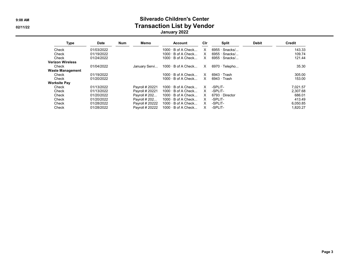#### 9:08 AM Silverado Children's Center 02/11/22 **Transaction List by Vendor Transaction List by Vendor** January 2022

| Type                    | <b>Date</b> | <b>Num</b> | Memo            | Account                   | Cir |                       | <b>Split</b>         | <b>Debit</b> | Credit   |
|-------------------------|-------------|------------|-----------------|---------------------------|-----|-----------------------|----------------------|--------------|----------|
| Check                   | 01/03/2022  |            |                 | $1000 \cdot B$ of A Check | x   |                       | $6955 \cdot$ Snacks/ |              | 143.33   |
| Check                   | 01/19/2022  |            |                 | $1000 \cdot B$ of A Check | X   |                       | $6955 \cdot$ Snacks/ |              | 109.74   |
| Check                   | 01/24/2022  |            |                 | $1000 \cdot B$ of A Check | X   |                       | $6955 \cdot$ Snacks/ |              | 121.44   |
| <b>Verizon Wireless</b> |             |            |                 |                           |     |                       |                      |              |          |
| Check                   | 01/04/2022  |            | January Servi   | $1000 \cdot B$ of A Check | X.  |                       | $6970 \cdot$ Telepho |              | 35.30    |
| <b>Waste Management</b> |             |            |                 |                           |     |                       |                      |              |          |
| Check                   | 01/19/2022  |            |                 | $1000 \cdot B$ of A Check | X   | $6943 \cdot$ Trash    |                      |              | 305.00   |
| Check                   | 01/20/2022  |            |                 | $1000 \cdot B$ of A Check | X   | $6943 \cdot$ Trash    |                      |              | 153.00   |
| <b>Worksite Pay</b>     |             |            |                 |                           |     |                       |                      |              |          |
| Check                   | 01/13/2022  |            | Payroll # 20221 | $1000 \cdot B$ of A Check | x   | -SPLIT-               |                      |              | 7.021.57 |
| Check                   | 01/13/2022  |            | Payroll # 20221 | $1000 \cdot B$ of A Check | x   | -SPLIT-               |                      |              | 2.307.68 |
| Check                   | 01/20/2022  |            | Payroll # 202   | $1000 \cdot B$ of A Check | x   | $6793 \cdot$ Director |                      |              | 686.01   |
| Check                   | 01/20/2022  |            | Payroll # 202   | $1000 \cdot B$ of A Check | X   | -SPLIT-               |                      |              | 413.49   |
| Check                   | 01/28/2022  |            | Payroll # 20222 | $1000 \cdot B$ of A Check | X   | -SPLIT-               |                      |              | 6,050.85 |
| Check                   | 01/28/2022  |            | Payroll # 20222 | $1000 \cdot B$ of A Check | x   | -SPLIT-               |                      |              | 1.820.27 |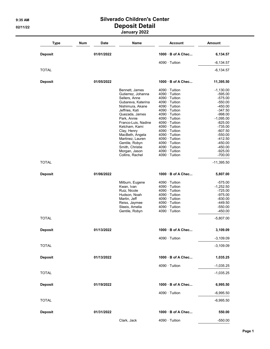# 9:35 AM Silverado Children's Center 02/11/22 Deposit Detail

| January 2022 |  |
|--------------|--|
|--------------|--|

| <b>Type</b>    | <b>Num</b><br><b>Date</b> | Name                                | <b>Account</b>                               | <b>Amount</b>            |
|----------------|---------------------------|-------------------------------------|----------------------------------------------|--------------------------|
| <b>Deposit</b> | 01/01/2022                |                                     | 1000 B of A Chec                             | 6,134.57                 |
|                |                           |                                     | $4090 \cdot$ Tuition                         | $-6,134.57$              |
| <b>TOTAL</b>   |                           |                                     |                                              | $-6,134.57$              |
| <b>Deposit</b> | 01/05/2022                |                                     | 1000 B of A Chec                             | 11,395.50                |
|                |                           | Bennett. James                      | $4090 \cdot$ Tuition                         | $-1,130.00$              |
|                |                           | Gutierrez, Johanna<br>Sellers, Anne | $4090 \cdot$ Tuition<br>$4090 \cdot$ Tuition | $-595.00$<br>$-575.00$   |
|                |                           | Gubareva, Katerina                  | $4090 \cdot$ Tuition                         | $-550.00$                |
|                |                           | Nishimura, Akane                    | $4090 \cdot$ Tuition                         | -450.00                  |
|                |                           | Jeffries, Kati                      | $4090 \cdot$ Tuition                         | -347.50                  |
|                |                           | Quezada, James<br>Park, Annie       | 4090 · Tuition<br>$4090 \cdot$ Tuition       | $-998.00$<br>$-1,095.00$ |
|                |                           | Franco-Luis, Nadine                 | $4090 \cdot$ Tuition                         | $-825.00$                |
|                |                           | Ketcham, Kami                       | $4090 \cdot$ Tuition                         | $-735.00$                |
|                |                           | Clay, Henry                         | $4090 \cdot$ Tuition                         | $-607.50$                |
|                |                           | MacBeth, Angela                     | $4090 \cdot$ Tuition                         | $-550.00$                |
|                |                           | Martinez. Lauren<br>Gentile, Robyn  | $4090 \cdot$ Tuition<br>$4090 \cdot$ Tuition | $-412.50$<br>$-450.00$   |
|                |                           | Smith, Christie                     | $4090 \cdot$ Tuition                         | -450.00                  |
|                |                           | Morgan, Jason                       | $4090 \cdot$ Tuition                         | $-925.00$                |
|                |                           | Collins, Rachel                     | 4090 · Tuition                               | $-700.00$                |
| <b>TOTAL</b>   |                           |                                     |                                              | $-11,395.50$             |
| <b>Deposit</b> | 01/06/2022                |                                     | 1000 B of A Chec                             | 5,807.00                 |
|                |                           | Milburn, Eugene                     | $4090 \cdot$ Tuition                         | $-575.00$                |
|                |                           | Kwan, Ivan                          | $4090 \cdot$ Tuition                         | $-1,252.50$              |
|                |                           | Ruiz, Nicole<br>Hudson, Noah        | $4090 \cdot$ Tuition<br>$4090 \cdot$ Tuition | $-725.00$<br>$-975.00$   |
|                |                           | Martin, Jeff                        | $4090 \cdot$ Tuition                         | -830.00                  |
|                |                           | Reiss, Jaymee                       | $4090 \cdot$ Tuition                         | -449.50                  |
|                |                           | Sleeis, Amelia                      | $4090 \cdot$ Tuition                         | $-550.00$                |
|                |                           | Gentile, Robyn                      | $4090 \cdot$ Tuition                         | $-450.00$                |
| <b>TOTAL</b>   |                           |                                     |                                              | $-5,807.00$              |
| <b>Deposit</b> | 01/13/2022                |                                     | 1000 B of A Chec                             | 3,109.09                 |
|                |                           |                                     | 4090 · Tuition                               | $-3,109.09$              |
| <b>TOTAL</b>   |                           |                                     |                                              | $-3,109.09$              |
| <b>Deposit</b> | 01/13/2022                |                                     | 1000 B of A Chec                             | 1,035.25                 |
|                |                           |                                     | 4090 · Tuition                               | $-1,035.25$              |
| <b>TOTAL</b>   |                           |                                     |                                              | $-1,035.25$              |
| <b>Deposit</b> | 01/19/2022                |                                     | 1000 B of A Chec                             | 6,995.50                 |
|                |                           |                                     | $4090 \cdot$ Tuition                         | $-6,995.50$              |
| <b>TOTAL</b>   |                           |                                     |                                              | $-6,995.50$              |
| <b>Deposit</b> | 01/31/2022                |                                     | 1000 B of A Chec                             | 550.00                   |
|                |                           | Clark, Jack                         | 4090 · Tuition                               | $-550.00$                |